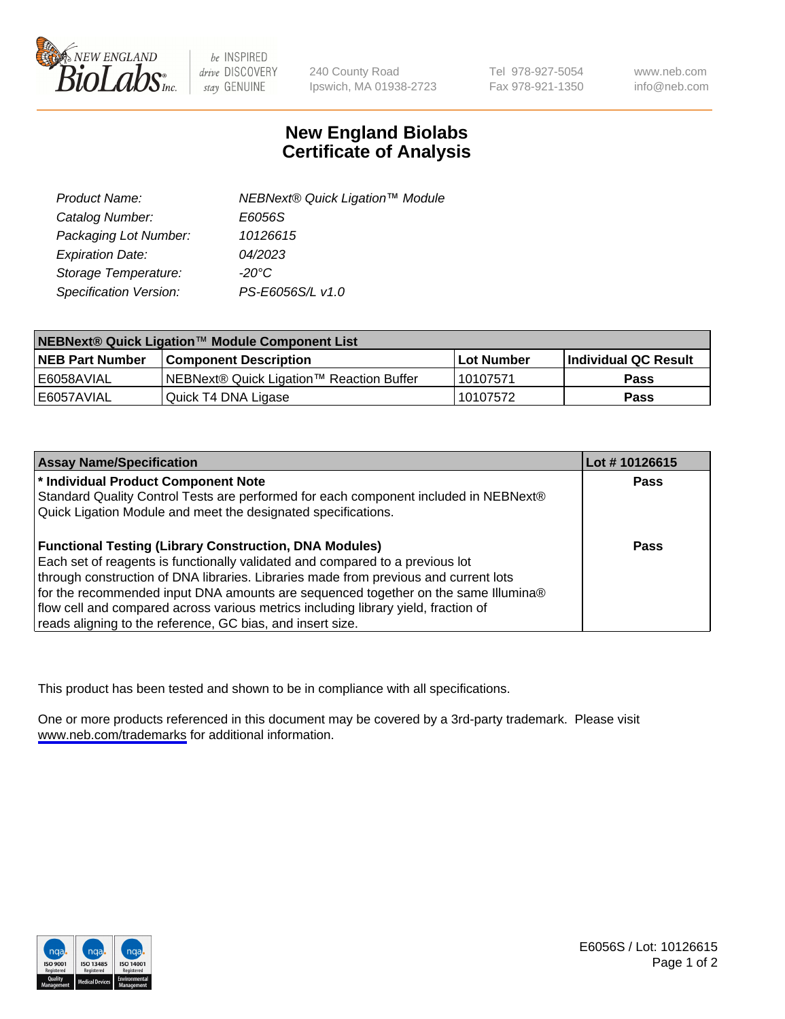

be INSPIRED drive DISCOVERY stay GENUINE

240 County Road Ipswich, MA 01938-2723 Tel 978-927-5054 Fax 978-921-1350

www.neb.com info@neb.com

## **New England Biolabs Certificate of Analysis**

| Product Name:           | NEBNext® Quick Ligation™ Module |
|-------------------------|---------------------------------|
| Catalog Number:         | E6056S                          |
| Packaging Lot Number:   | 10126615                        |
| <b>Expiration Date:</b> | 04/2023                         |
| Storage Temperature:    | $-20^{\circ}$ C                 |
| Specification Version:  | PS-E6056S/L v1.0                |

| <b>NEBNext<sup>®</sup> Quick Ligation™ Module Component List</b> |                                           |             |                       |  |
|------------------------------------------------------------------|-------------------------------------------|-------------|-----------------------|--|
| <b>NEB Part Number</b>                                           | l Component Description I                 | ⊺Lot Number | ∣Individual QC Result |  |
| E6058AVIAL                                                       | INEBNext® Quick Ligation™ Reaction Buffer | 10107571    | <b>Pass</b>           |  |
| E6057AVIAL                                                       | Quick T4 DNA Ligase                       | 10107572    | <b>Pass</b>           |  |

| <b>Assay Name/Specification</b>                                                      | Lot #10126615 |
|--------------------------------------------------------------------------------------|---------------|
| * Individual Product Component Note                                                  | <b>Pass</b>   |
| Standard Quality Control Tests are performed for each component included in NEBNext® |               |
| Quick Ligation Module and meet the designated specifications.                        |               |
| <b>Functional Testing (Library Construction, DNA Modules)</b>                        | <b>Pass</b>   |
| Each set of reagents is functionally validated and compared to a previous lot        |               |
| through construction of DNA libraries. Libraries made from previous and current lots |               |
| for the recommended input DNA amounts are sequenced together on the same Illumina®   |               |
| flow cell and compared across various metrics including library yield, fraction of   |               |
| reads aligning to the reference, GC bias, and insert size.                           |               |

This product has been tested and shown to be in compliance with all specifications.

One or more products referenced in this document may be covered by a 3rd-party trademark. Please visit <www.neb.com/trademarks>for additional information.